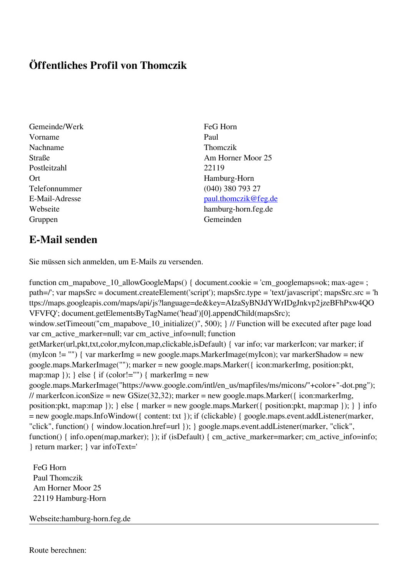## **Öffentliches Profil von Thomczik**

- Gemeinde/Werk FeG Horn Vorname Paul Nachname Thomczik Postleitzahl 22119 Ort Hamburg-Horn Gruppen Gemeinden Gemeinden Gemeinden Gemeinden Gemeinden Gemeinden Gemeinden Gemeinden Gemeinden Gemeinden G
- Straße **Am Horner Moor 25** Telefonnummer (040) 380 793 27 E-Mail-Adresse [paul.thomczik@feg.de](mailto:paul.thomczik@feg.de) Webseite hamburg-horn.feg.de

## **E-Mail senden**

Sie müssen sich anmelden, um E-Mails zu versenden.

function cm\_mapabove\_10\_allowGoogleMaps() { document.cookie = 'cm\_googlemaps=ok; max-age= ; path=/'; var mapsSrc = document.createElement('script'); mapsSrc.type = 'text/javascript'; mapsSrc.src = 'h ttps://maps.googleapis.com/maps/api/js?language=de&key=AIzaSyBNJdYWrIDgJnkvp2jzeBFhPxw4QO VFVFQ'; document.getElementsByTagName('head')[0].appendChild(mapsSrc); window.setTimeout("cm\_mapabove\_10\_initialize()", 500); } // Function will be executed after page load var cm\_active\_marker=null; var cm\_active\_info=null; function getMarker(url,pkt,txt,color,myIcon,map,clickable,isDefault) { var info; var markerIcon; var marker; if (myIcon != "") { var markerImg = new google.maps.MarkerImage(myIcon); var markerShadow = new google.maps.MarkerImage(""); marker = new google.maps.Marker({ icon:markerImg, position:pkt, map:map  $\}$ ;  $\}$  else  $\{$  if (color!="")  $\{$  markerImg = new google.maps.MarkerImage("https://www.google.com/intl/en\_us/mapfiles/ms/micons/"+color+"-dot.png"); // markerIcon.iconSize = new GSize(32,32); marker = new google.maps.Marker({ $i$ con:markerImg, position:pkt, map:map }); } else { marker = new google.maps.Marker({ position:pkt, map:map }); } } info = new google.maps.InfoWindow({ content: txt }); if (clickable) { google.maps.event.addListener(marker, "click", function() { window.location.href=url }); } google.maps.event.addListener(marker, "click", function() { info.open(map,marker); }); if (isDefault) { cm\_active\_marker=marker; cm\_active\_info=info; } return marker; } var infoText='

 FeG Horn Paul Thomczik Am Horner Moor 25 22119 Hamburg-Horn

Webseite:hamburg-horn.feg.de